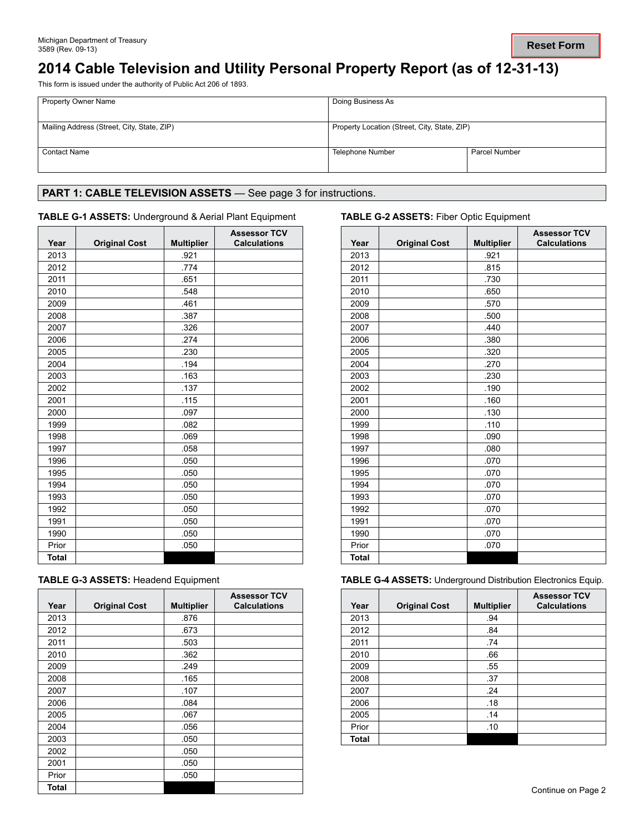# **2014 Cable Television and Utility Personal Property Report (as of 12-31-13)**

This form is issued under the authority of Public Act 206 of 1893.

| <b>Property Owner Name</b>                 | Doing Business As                            |                      |  |
|--------------------------------------------|----------------------------------------------|----------------------|--|
| Mailing Address (Street, City, State, ZIP) | Property Location (Street, City, State, ZIP) |                      |  |
| <b>Contact Name</b>                        | Telephone Number                             | <b>Parcel Number</b> |  |

# PART 1: CABLE TELEVISION ASSETS - See page 3 for instructions.

### **TABLE G-1 ASSETS:** Underground & Aerial Plant Equipment **TABLE G-2 ASSETS:** Fiber Optic Equipment

| Year         | <b>Original Cost</b> | <b>Multiplier</b> | <b>Assessor TCV</b><br><b>Calculations</b> | Year         | <b>Original Cost</b> | <b>Multipl</b> |
|--------------|----------------------|-------------------|--------------------------------------------|--------------|----------------------|----------------|
| 2013         |                      | .921              |                                            | 2013         |                      | .921           |
| 2012         |                      | .774              |                                            | 2012         |                      | .815           |
| 2011         |                      | .651              |                                            | 2011         |                      | .730           |
| 2010         |                      | .548              |                                            | 2010         |                      | .650           |
| 2009         |                      | .461              |                                            | 2009         |                      | .570           |
| 2008         |                      | .387              |                                            | 2008         |                      | .500           |
| 2007         |                      | .326              |                                            | 2007         |                      | .440           |
| 2006         |                      | .274              |                                            | 2006         |                      | .380           |
| 2005         |                      | .230              |                                            | 2005         |                      | .320           |
| 2004         |                      | .194              |                                            | 2004         |                      | .270           |
| 2003         |                      | .163              |                                            | 2003         |                      | .230           |
| 2002         |                      | .137              |                                            | 2002         |                      | .190           |
| 2001         |                      | .115              |                                            | 2001         |                      | .160           |
| 2000         |                      | .097              |                                            | 2000         |                      | .130           |
| 1999         |                      | .082              |                                            | 1999         |                      | .110           |
| 1998         |                      | .069              |                                            | 1998         |                      | .090           |
| 1997         |                      | .058              |                                            | 1997         |                      | .080           |
| 1996         |                      | .050              |                                            | 1996         |                      | .070           |
| 1995         |                      | .050              |                                            | 1995         |                      | .070           |
| 1994         |                      | .050              |                                            | 1994         |                      | .070           |
| 1993         |                      | .050              |                                            | 1993         |                      | .070           |
| 1992         |                      | .050              |                                            | 1992         |                      | .070           |
| 1991         |                      | .050              |                                            | 1991         |                      | .070           |
| 1990         |                      | .050              |                                            | 1990         |                      | .070           |
| Prior        |                      | .050              |                                            | Prior        |                      | .070           |
| <b>Total</b> |                      |                   |                                            | <b>Total</b> |                      |                |

|  | <b>TABLE G-3 ASSETS: Headend Equipment</b> |  |
|--|--------------------------------------------|--|
|--|--------------------------------------------|--|

| Year  | <b>Original Cost</b> | <b>Multiplier</b> | <b>Assessor TCV</b><br><b>Calculations</b> | Year  | <b>Original Cost</b> | <b>Multip</b> |
|-------|----------------------|-------------------|--------------------------------------------|-------|----------------------|---------------|
| 2013  |                      | .876              |                                            | 2013  |                      | .94           |
| 2012  |                      | .673              |                                            | 2012  |                      | .84           |
| 2011  |                      | .503              |                                            | 2011  |                      | .74           |
| 2010  |                      | .362              |                                            | 2010  |                      | .66           |
| 2009  |                      | .249              |                                            | 2009  |                      | .55           |
| 2008  |                      | .165              |                                            | 2008  |                      | .37           |
| 2007  |                      | .107              |                                            | 2007  |                      | .24           |
| 2006  |                      | .084              |                                            | 2006  |                      | .18           |
| 2005  |                      | .067              |                                            | 2005  |                      | .14           |
| 2004  |                      | .056              |                                            | Prior |                      | .10           |
| 2003  |                      | .050              |                                            | Total |                      |               |
| 2002  |                      | .050              |                                            |       |                      |               |
| 2001  |                      | .050              |                                            |       |                      |               |
| Prior |                      | .050              |                                            |       |                      |               |
| Total |                      |                   |                                            |       |                      |               |

| <b>Assessor TCV</b><br><b>Calculations</b> | Year         | <b>Original Cost</b> | <b>Multiplier</b> | <b>Assessor TCV</b><br><b>Calculations</b> |
|--------------------------------------------|--------------|----------------------|-------------------|--------------------------------------------|
|                                            | 2013         |                      | .921              |                                            |
|                                            | 2012         |                      | .815              |                                            |
|                                            | 2011         |                      | .730              |                                            |
|                                            | 2010         |                      | .650              |                                            |
|                                            | 2009         |                      | .570              |                                            |
|                                            | 2008         |                      | .500              |                                            |
|                                            | 2007         |                      | .440              |                                            |
|                                            | 2006         |                      | .380              |                                            |
|                                            | 2005         |                      | .320              |                                            |
|                                            | 2004         |                      | .270              |                                            |
|                                            | 2003         |                      | .230              |                                            |
|                                            | 2002         |                      | .190              |                                            |
|                                            | 2001         |                      | .160              |                                            |
|                                            | 2000         |                      | .130              |                                            |
|                                            | 1999         |                      | .110              |                                            |
|                                            | 1998         |                      | .090              |                                            |
|                                            | 1997         |                      | .080              |                                            |
|                                            | 1996         |                      | .070              |                                            |
|                                            | 1995         |                      | .070              |                                            |
|                                            | 1994         |                      | .070              |                                            |
|                                            | 1993         |                      | .070              |                                            |
|                                            | 1992         |                      | .070              |                                            |
|                                            | 1991         |                      | .070              |                                            |
|                                            | 1990         |                      | .070              |                                            |
|                                            | Prior        |                      | .070              |                                            |
|                                            | <b>Total</b> |                      |                   |                                            |

**TABLE G-4 ASSETS: Underground Distribution Electronics Equip.** 

| <b>Assessor TCV</b><br><b>Calculations</b> | Year         | <b>Original Cost</b> | <b>Multiplier</b> | <b>Assessor TCV</b><br><b>Calculations</b> |
|--------------------------------------------|--------------|----------------------|-------------------|--------------------------------------------|
|                                            | 2013         |                      | .94               |                                            |
|                                            | 2012         |                      | .84               |                                            |
|                                            | 2011         |                      | .74               |                                            |
|                                            | 2010         |                      | .66               |                                            |
|                                            | 2009         |                      | .55               |                                            |
|                                            | 2008         |                      | .37               |                                            |
|                                            | 2007         |                      | .24               |                                            |
|                                            | 2006         |                      | .18               |                                            |
|                                            | 2005         |                      | .14               |                                            |
|                                            | Prior        |                      | .10               |                                            |
|                                            | <b>Total</b> |                      |                   |                                            |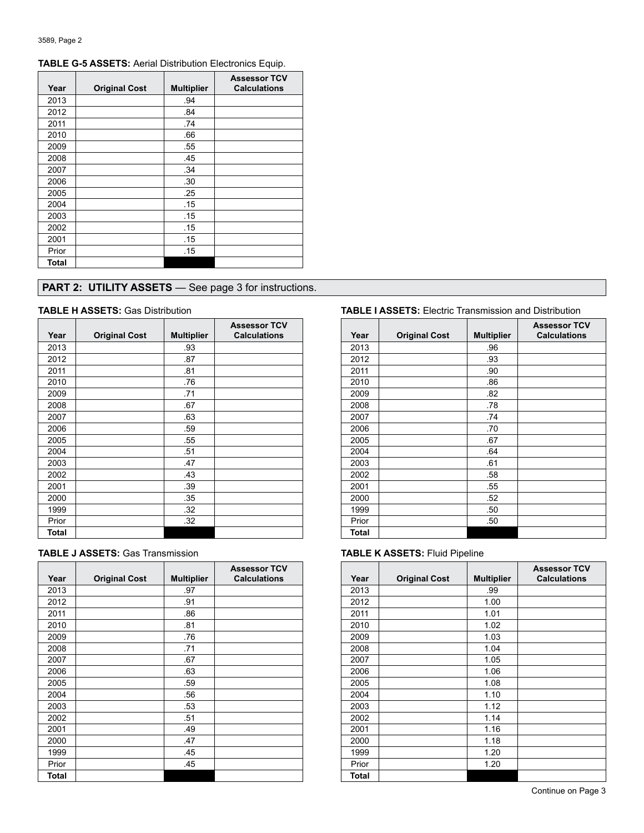| Year  | <b>Original Cost</b> | <b>Multiplier</b> | <b>Assessor TCV</b><br><b>Calculations</b> |
|-------|----------------------|-------------------|--------------------------------------------|
| 2013  |                      | .94               |                                            |
| 2012  |                      | .84               |                                            |
| 2011  |                      | .74               |                                            |
| 2010  |                      | .66               |                                            |
| 2009  |                      | .55               |                                            |
| 2008  |                      | .45               |                                            |
| 2007  |                      | .34               |                                            |
| 2006  |                      | .30               |                                            |
| 2005  |                      | .25               |                                            |
| 2004  |                      | .15               |                                            |
| 2003  |                      | .15               |                                            |
| 2002  |                      | .15               |                                            |
| 2001  |                      | .15               |                                            |
| Prior |                      | .15               |                                            |
| Total |                      |                   |                                            |

# **TABLE G-5 ASSETS:** Aerial Distribution Electronics Equip.

# **PART 2: UTILITY ASSETS** - See page 3 for instructions.

| Year  | <b>Original Cost</b> | <b>Multiplier</b> | <b>Assessor TCV</b><br><b>Calculations</b> |       | Year  | <b>Original Cost</b> |  |
|-------|----------------------|-------------------|--------------------------------------------|-------|-------|----------------------|--|
| 2013  |                      | .93               |                                            |       | 2013  |                      |  |
| 2012  |                      | .87               |                                            |       | 2012  |                      |  |
| 2011  |                      | .81               |                                            | 2011  |       |                      |  |
| 2010  |                      | .76               |                                            | 2010  |       |                      |  |
| 2009  |                      | .71               |                                            | 2009  |       |                      |  |
| 2008  |                      | .67               |                                            | 2008  |       |                      |  |
| 2007  |                      | .63               |                                            | 2007  |       |                      |  |
| 2006  |                      | .59               |                                            |       | 2006  |                      |  |
| 2005  |                      | .55               |                                            |       | 2005  |                      |  |
| 2004  |                      | .51               |                                            | 2004  |       |                      |  |
| 2003  |                      | .47               |                                            | 2003  |       |                      |  |
| 2002  |                      | .43               |                                            | 2002  |       |                      |  |
| 2001  |                      | .39               |                                            | 2001  |       |                      |  |
| 2000  |                      | .35               |                                            | 2000  |       |                      |  |
| 1999  |                      | .32               |                                            |       | 1999  |                      |  |
| Prior |                      | .32               |                                            | Prior |       |                      |  |
| Total |                      |                   |                                            |       | Total |                      |  |

| <b>TABLE J ASSETS: Gas Transmission</b> |  |
|-----------------------------------------|--|
|-----------------------------------------|--|

|       |                      |                   | <b>Assessor TCV</b> |              |                      |                |
|-------|----------------------|-------------------|---------------------|--------------|----------------------|----------------|
| Year  | <b>Original Cost</b> | <b>Multiplier</b> | <b>Calculations</b> | Year         | <b>Original Cost</b> | <b>Multipl</b> |
| 2013  |                      | .97               |                     | 2013         |                      | .99            |
| 2012  |                      | .91               |                     | 2012         |                      | 1.00           |
| 2011  |                      | .86               |                     | 2011         |                      | 1.01           |
| 2010  |                      | .81               |                     | 2010         |                      | 1.02           |
| 2009  |                      | .76               |                     | 2009         |                      | 1.03           |
| 2008  |                      | .71               |                     | 2008         |                      | 1.04           |
| 2007  |                      | .67               |                     | 2007         |                      | 1.05           |
| 2006  |                      | .63               |                     | 2006         |                      | 1.06           |
| 2005  |                      | .59               |                     | 2005         |                      | 1.08           |
| 2004  |                      | .56               |                     | 2004         |                      | 1.10           |
| 2003  |                      | .53               |                     | 2003         |                      | 1.12           |
| 2002  |                      | .51               |                     | 2002         |                      | 1.14           |
| 2001  |                      | .49               |                     | 2001         |                      | 1.16           |
| 2000  |                      | .47               |                     | 2000         |                      | 1.18           |
| 1999  |                      | .45               |                     | 1999         |                      | 1.20           |
| Prior |                      | .45               |                     | Prior        |                      | 1.20           |
| Total |                      |                   |                     | <b>Total</b> |                      |                |

# **TABLE H ASSETS:** Gas Distribution **TABLE I ASSETS:** Electric Transmission and Distribution

| <b>Assessor TCV</b><br><b>Calculations</b> | Year         | <b>Original Cost</b> | <b>Multiplier</b> | <b>Assessor TCV</b><br><b>Calculations</b> |
|--------------------------------------------|--------------|----------------------|-------------------|--------------------------------------------|
|                                            | 2013         |                      | .96               |                                            |
|                                            | 2012         |                      | .93               |                                            |
|                                            | 2011         |                      | .90               |                                            |
|                                            |              |                      |                   |                                            |
|                                            | 2010         |                      | .86               |                                            |
|                                            | 2009         |                      | .82               |                                            |
|                                            | 2008         |                      | .78               |                                            |
|                                            | 2007         |                      | .74               |                                            |
|                                            | 2006         |                      | .70               |                                            |
|                                            | 2005         |                      | .67               |                                            |
|                                            | 2004         |                      | .64               |                                            |
|                                            | 2003         |                      | .61               |                                            |
|                                            | 2002         |                      | .58               |                                            |
|                                            | 2001         |                      | .55               |                                            |
|                                            | 2000         |                      | .52               |                                            |
|                                            | 1999         |                      | .50               |                                            |
|                                            | Prior        |                      | .50               |                                            |
|                                            | <b>Total</b> |                      |                   |                                            |

# **TABLE K ASSETS: Fluid Pipeline**

| <b>\ssessor TCV</b><br><b>Calculations</b> | Year  | <b>Original Cost</b> | <b>Multiplier</b> | <b>Assessor TCV</b><br><b>Calculations</b> |
|--------------------------------------------|-------|----------------------|-------------------|--------------------------------------------|
|                                            | 2013  |                      | .99               |                                            |
|                                            | 2012  |                      | 1.00              |                                            |
|                                            | 2011  |                      | 1.01              |                                            |
|                                            | 2010  |                      | 1.02              |                                            |
|                                            | 2009  |                      | 1.03              |                                            |
|                                            | 2008  |                      | 1.04              |                                            |
|                                            | 2007  |                      | 1.05              |                                            |
|                                            | 2006  |                      | 1.06              |                                            |
|                                            | 2005  |                      | 1.08              |                                            |
|                                            | 2004  |                      | 1.10              |                                            |
|                                            | 2003  |                      | 1.12              |                                            |
|                                            | 2002  |                      | 1.14              |                                            |
|                                            | 2001  |                      | 1.16              |                                            |
|                                            | 2000  |                      | 1.18              |                                            |
|                                            | 1999  |                      | 1.20              |                                            |
|                                            | Prior |                      | 1.20              |                                            |
|                                            | Total |                      |                   |                                            |